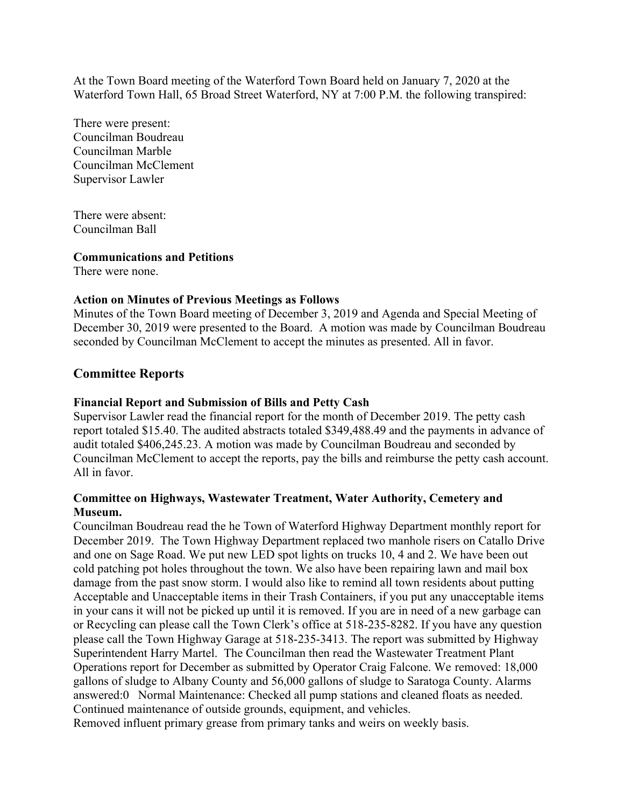At the Town Board meeting of the Waterford Town Board held on January 7, 2020 at the Waterford Town Hall, 65 Broad Street Waterford, NY at 7:00 P.M. the following transpired:

There were present: Councilman Boudreau Councilman Marble Councilman McClement Supervisor Lawler

There were absent: Councilman Ball

#### **Communications and Petitions**

There were none.

### **Action on Minutes of Previous Meetings as Follows**

Minutes of the Town Board meeting of December 3, 2019 and Agenda and Special Meeting of December 30, 2019 were presented to the Board. A motion was made by Councilman Boudreau seconded by Councilman McClement to accept the minutes as presented. All in favor.

# **Committee Reports**

### **Financial Report and Submission of Bills and Petty Cash**

Supervisor Lawler read the financial report for the month of December 2019. The petty cash report totaled \$15.40. The audited abstracts totaled \$349,488.49 and the payments in advance of audit totaled \$406,245.23. A motion was made by Councilman Boudreau and seconded by Councilman McClement to accept the reports, pay the bills and reimburse the petty cash account. All in favor.

### **Committee on Highways, Wastewater Treatment, Water Authority, Cemetery and Museum.**

Councilman Boudreau read the he Town of Waterford Highway Department monthly report for December 2019. The Town Highway Department replaced two manhole risers on Catallo Drive and one on Sage Road. We put new LED spot lights on trucks 10, 4 and 2. We have been out cold patching pot holes throughout the town. We also have been repairing lawn and mail box damage from the past snow storm. I would also like to remind all town residents about putting Acceptable and Unacceptable items in their Trash Containers, if you put any unacceptable items in your cans it will not be picked up until it is removed. If you are in need of a new garbage can or Recycling can please call the Town Clerk's office at 518-235-8282. If you have any question please call the Town Highway Garage at 518-235-3413. The report was submitted by Highway Superintendent Harry Martel. The Councilman then read the Wastewater Treatment Plant Operations report for December as submitted by Operator Craig Falcone. We removed: 18,000 gallons of sludge to Albany County and 56,000 gallons of sludge to Saratoga County. Alarms answered:0 Normal Maintenance: Checked all pump stations and cleaned floats as needed. Continued maintenance of outside grounds, equipment, and vehicles.

Removed influent primary grease from primary tanks and weirs on weekly basis.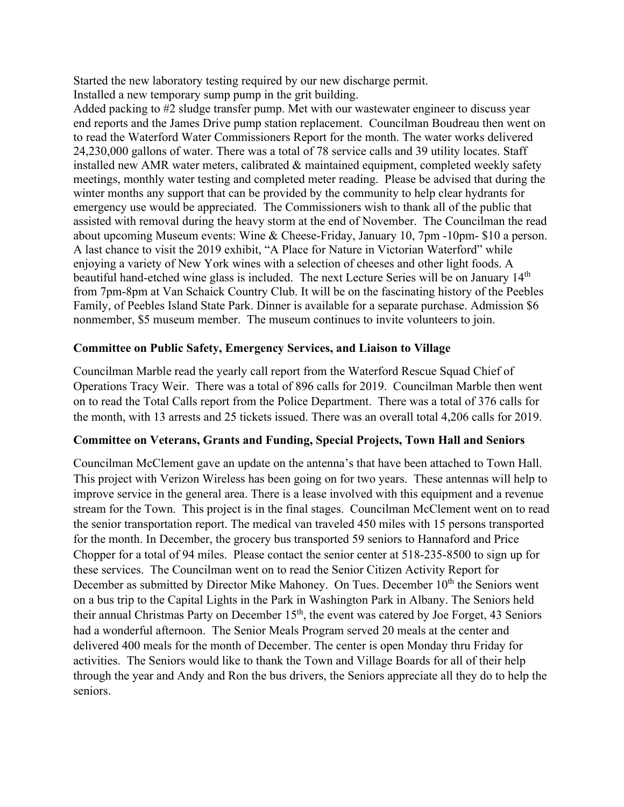Started the new laboratory testing required by our new discharge permit. Installed a new temporary sump pump in the grit building.

Added packing to #2 sludge transfer pump. Met with our wastewater engineer to discuss year end reports and the James Drive pump station replacement. Councilman Boudreau then went on to read the Waterford Water Commissioners Report for the month. The water works delivered 24,230,000 gallons of water. There was a total of 78 service calls and 39 utility locates. Staff installed new AMR water meters, calibrated & maintained equipment, completed weekly safety meetings, monthly water testing and completed meter reading. Please be advised that during the winter months any support that can be provided by the community to help clear hydrants for emergency use would be appreciated. The Commissioners wish to thank all of the public that assisted with removal during the heavy storm at the end of November. The Councilman the read about upcoming Museum events: Wine & Cheese-Friday, January 10, 7pm -10pm- \$10 a person. A last chance to visit the 2019 exhibit, "A Place for Nature in Victorian Waterford" while enjoying a variety of New York wines with a selection of cheeses and other light foods. A beautiful hand-etched wine glass is included. The next Lecture Series will be on January 14<sup>th</sup> from 7pm-8pm at Van Schaick Country Club. It will be on the fascinating history of the Peebles Family, of Peebles Island State Park. Dinner is available for a separate purchase. Admission \$6 nonmember, \$5 museum member. The museum continues to invite volunteers to join.

### **Committee on Public Safety, Emergency Services, and Liaison to Village**

Councilman Marble read the yearly call report from the Waterford Rescue Squad Chief of Operations Tracy Weir. There was a total of 896 calls for 2019. Councilman Marble then went on to read the Total Calls report from the Police Department. There was a total of 376 calls for the month, with 13 arrests and 25 tickets issued. There was an overall total 4,206 calls for 2019.

### **Committee on Veterans, Grants and Funding, Special Projects, Town Hall and Seniors**

Councilman McClement gave an update on the antenna's that have been attached to Town Hall. This project with Verizon Wireless has been going on for two years. These antennas will help to improve service in the general area. There is a lease involved with this equipment and a revenue stream for the Town. This project is in the final stages. Councilman McClement went on to read the senior transportation report. The medical van traveled 450 miles with 15 persons transported for the month. In December, the grocery bus transported 59 seniors to Hannaford and Price Chopper for a total of 94 miles. Please contact the senior center at 518-235-8500 to sign up for these services. The Councilman went on to read the Senior Citizen Activity Report for December as submitted by Director Mike Mahoney. On Tues. December  $10<sup>th</sup>$  the Seniors went on a bus trip to the Capital Lights in the Park in Washington Park in Albany. The Seniors held their annual Christmas Party on December  $15<sup>th</sup>$ , the event was catered by Joe Forget, 43 Seniors had a wonderful afternoon. The Senior Meals Program served 20 meals at the center and delivered 400 meals for the month of December. The center is open Monday thru Friday for activities. The Seniors would like to thank the Town and Village Boards for all of their help through the year and Andy and Ron the bus drivers, the Seniors appreciate all they do to help the seniors.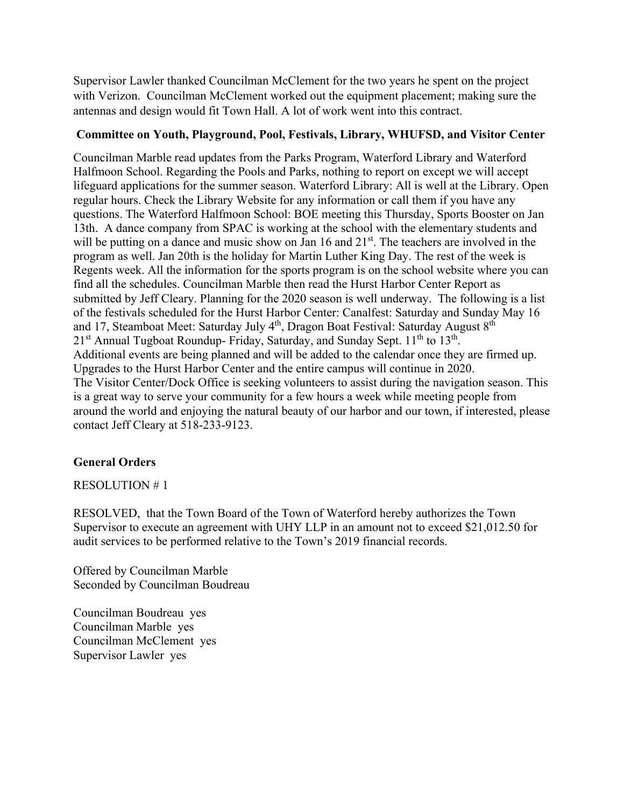Supervisor Lawler thanked Councilman McClement for the two years he spent on the project with Verizon. Councilman McClement worked out the equipment placement; making sure the antennas and design would fit Town Hall. A lot of work went into this contract.

## **Committee on Youth, Playground, Pool, Festivals, Library, WHUFSD, and Visitor Center**

Councilman Marble read updates from the Parks Program, Waterford Library and Waterford Halfmoon School. Regarding the Pools and Parks, nothing to report on except we will accept lifeguard applications for the summer season. Waterford Library: All is well at the Library. Open regular hours. Check the Library Website for any information or call them if you have any questions. The Waterford Halfmoon School: BOE meeting this Thursday, Sports Booster on Jan 13th. A dance company from SPAC is working at the school with the elementary students and will be putting on a dance and music show on Jan 16 and 21<sup>st</sup>. The teachers are involved in the program as well. Jan 20th is the holiday for Martin Luther King Day. The rest of the week is Regents week. All the information for the sports program is on the school website where you can find all the schedules. Councilman Marble then read the Hurst Harbor Center Report as submitted by Jeff Cleary. Planning for the 2020 season is well underway. The following is a list of the festivals scheduled for the Hurst Harbor Center: Canalfest: Saturday and Sunday May 16 and 17, Steamboat Meet: Saturday July 4<sup>th</sup>, Dragon Boat Festival: Saturday August 8<sup>th</sup>  $21<sup>st</sup>$  Annual Tugboat Roundup- Friday, Saturday, and Sunday Sept.  $11<sup>th</sup>$  to  $13<sup>th</sup>$ . Additional events are being planned and will be added to the calendar once they are firmed up. Upgrades to the Hurst Harbor Center and the entire campus will continue in 2020. The Visitor Center/Dock Office is seeking volunteers to assist during the navigation season. This is a great way to serve your community for a few hours a week while meeting people from around the world and enjoying the natural beauty of our harbor and our town, if interested, please contact Jeff Cleary at 518-233-9123.

# **General Orders**

RESOLUTION # 1

RESOLVED, that the Town Board of the Town of Waterford hereby authorizes the Town Supervisor to execute an agreement with UHY LLP in an amount not to exceed \$21,012.50 for audit services to be performed relative to the Town's 2019 financial records.

Offered by Councilman Marble Seconded by Councilman Boudreau

Councilman Boudreau yes Councilman Marble yes Councilman McClement yes Supervisor Lawler yes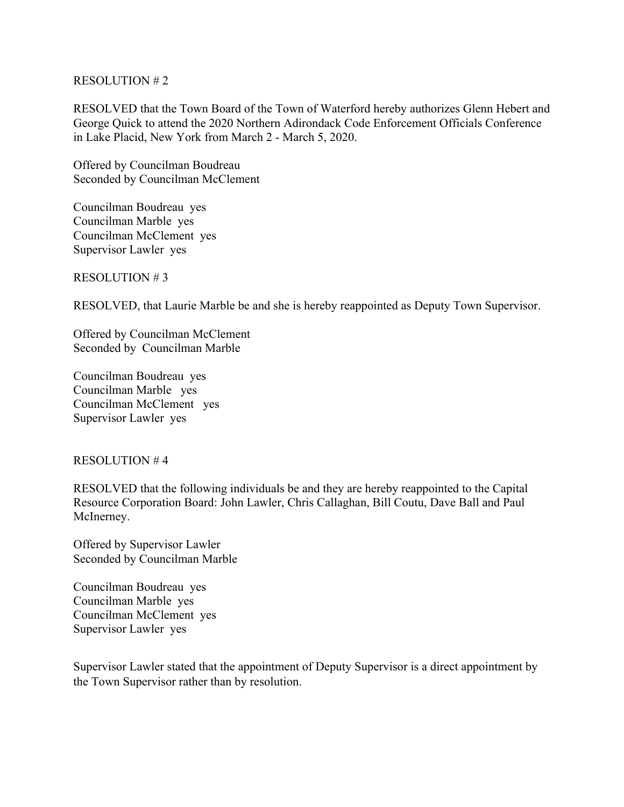#### RESOLUTION # 2

RESOLVED that the Town Board of the Town of Waterford hereby authorizes Glenn Hebert and George Quick to attend the 2020 Northern Adirondack Code Enforcement Officials Conference in Lake Placid, New York from March 2 - March 5, 2020.

Offered by Councilman Boudreau Seconded by Councilman McClement

Councilman Boudreau yes Councilman Marble yes Councilman McClement yes Supervisor Lawler yes

RESOLUTION # 3

RESOLVED, that Laurie Marble be and she is hereby reappointed as Deputy Town Supervisor.

Offered by Councilman McClement Seconded by Councilman Marble

Councilman Boudreau yes Councilman Marble yes Councilman McClement yes Supervisor Lawler yes

#### RESOLUTION # 4

RESOLVED that the following individuals be and they are hereby reappointed to the Capital Resource Corporation Board: John Lawler, Chris Callaghan, Bill Coutu, Dave Ball and Paul McInerney.

Offered by Supervisor Lawler Seconded by Councilman Marble

Councilman Boudreau yes Councilman Marble yes Councilman McClement yes Supervisor Lawler yes

Supervisor Lawler stated that the appointment of Deputy Supervisor is a direct appointment by the Town Supervisor rather than by resolution.